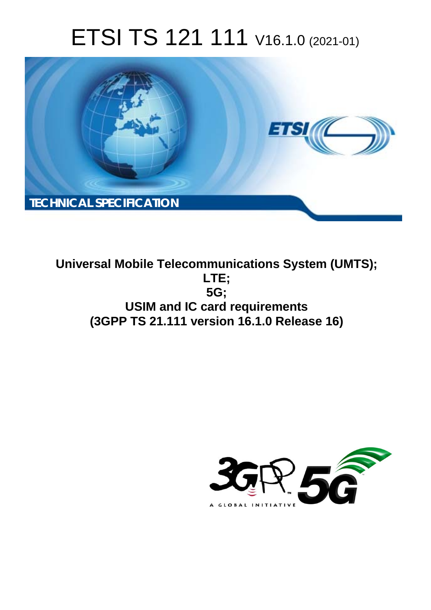# ETSI TS 121 111 V16.1.0 (2021-01)



**Universal Mobile Telecommunications System (UMTS); LTE; 5G; USIM and IC card requirements (3GPP TS 21.111 version 16.1.0 Release 16)** 

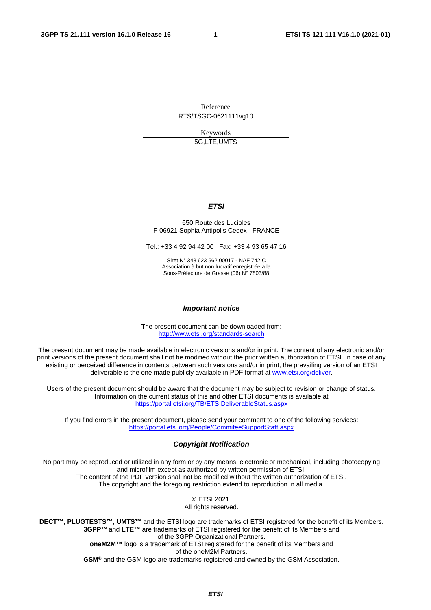Reference

RTS/TSGC-0621111vg10

Keywords 5G,LTE,UMTS

#### *ETSI*

#### 650 Route des Lucioles F-06921 Sophia Antipolis Cedex - FRANCE

Tel.: +33 4 92 94 42 00 Fax: +33 4 93 65 47 16

Siret N° 348 623 562 00017 - NAF 742 C Association à but non lucratif enregistrée à la Sous-Préfecture de Grasse (06) N° 7803/88

#### *Important notice*

The present document can be downloaded from: <http://www.etsi.org/standards-search>

The present document may be made available in electronic versions and/or in print. The content of any electronic and/or print versions of the present document shall not be modified without the prior written authorization of ETSI. In case of any existing or perceived difference in contents between such versions and/or in print, the prevailing version of an ETSI deliverable is the one made publicly available in PDF format at [www.etsi.org/deliver](http://www.etsi.org/deliver).

Users of the present document should be aware that the document may be subject to revision or change of status. Information on the current status of this and other ETSI documents is available at <https://portal.etsi.org/TB/ETSIDeliverableStatus.aspx>

If you find errors in the present document, please send your comment to one of the following services: <https://portal.etsi.org/People/CommiteeSupportStaff.aspx>

#### *Copyright Notification*

No part may be reproduced or utilized in any form or by any means, electronic or mechanical, including photocopying and microfilm except as authorized by written permission of ETSI. The content of the PDF version shall not be modified without the written authorization of ETSI. The copyright and the foregoing restriction extend to reproduction in all media.

> © ETSI 2021. All rights reserved.

**DECT™**, **PLUGTESTS™**, **UMTS™** and the ETSI logo are trademarks of ETSI registered for the benefit of its Members. **3GPP™** and **LTE™** are trademarks of ETSI registered for the benefit of its Members and of the 3GPP Organizational Partners. **oneM2M™** logo is a trademark of ETSI registered for the benefit of its Members and of the oneM2M Partners. **GSM®** and the GSM logo are trademarks registered and owned by the GSM Association.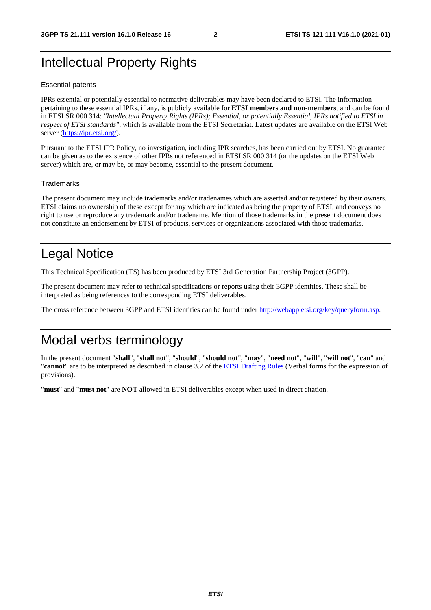# Intellectual Property Rights

#### Essential patents

IPRs essential or potentially essential to normative deliverables may have been declared to ETSI. The information pertaining to these essential IPRs, if any, is publicly available for **ETSI members and non-members**, and can be found in ETSI SR 000 314: *"Intellectual Property Rights (IPRs); Essential, or potentially Essential, IPRs notified to ETSI in respect of ETSI standards"*, which is available from the ETSI Secretariat. Latest updates are available on the ETSI Web server [\(https://ipr.etsi.org/](https://ipr.etsi.org/)).

Pursuant to the ETSI IPR Policy, no investigation, including IPR searches, has been carried out by ETSI. No guarantee can be given as to the existence of other IPRs not referenced in ETSI SR 000 314 (or the updates on the ETSI Web server) which are, or may be, or may become, essential to the present document.

#### **Trademarks**

The present document may include trademarks and/or tradenames which are asserted and/or registered by their owners. ETSI claims no ownership of these except for any which are indicated as being the property of ETSI, and conveys no right to use or reproduce any trademark and/or tradename. Mention of those trademarks in the present document does not constitute an endorsement by ETSI of products, services or organizations associated with those trademarks.

# Legal Notice

This Technical Specification (TS) has been produced by ETSI 3rd Generation Partnership Project (3GPP).

The present document may refer to technical specifications or reports using their 3GPP identities. These shall be interpreted as being references to the corresponding ETSI deliverables.

The cross reference between 3GPP and ETSI identities can be found under<http://webapp.etsi.org/key/queryform.asp>.

# Modal verbs terminology

In the present document "**shall**", "**shall not**", "**should**", "**should not**", "**may**", "**need not**", "**will**", "**will not**", "**can**" and "**cannot**" are to be interpreted as described in clause 3.2 of the [ETSI Drafting Rules](https://portal.etsi.org/Services/editHelp!/Howtostart/ETSIDraftingRules.aspx) (Verbal forms for the expression of provisions).

"**must**" and "**must not**" are **NOT** allowed in ETSI deliverables except when used in direct citation.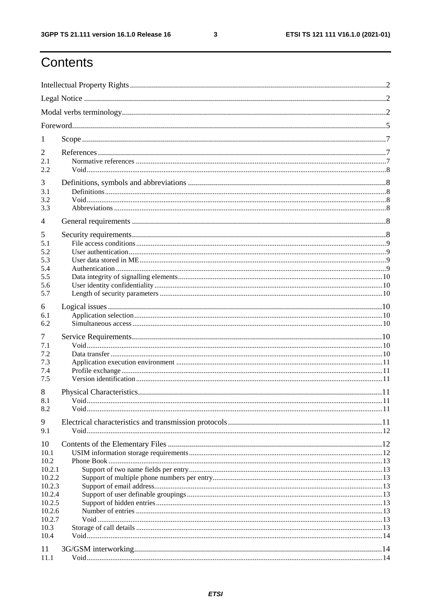$\mathbf{3}$ 

# Contents

| 1                |  |  |  |  |  |
|------------------|--|--|--|--|--|
| 2                |  |  |  |  |  |
| 2.1              |  |  |  |  |  |
| 2.2              |  |  |  |  |  |
| 3<br>3.1         |  |  |  |  |  |
| 3.2              |  |  |  |  |  |
| 3.3              |  |  |  |  |  |
| 4                |  |  |  |  |  |
| 5                |  |  |  |  |  |
| 5.1<br>5.2       |  |  |  |  |  |
| 5.3              |  |  |  |  |  |
| 5.4              |  |  |  |  |  |
| 5.5<br>5.6       |  |  |  |  |  |
| 5.7              |  |  |  |  |  |
| 6                |  |  |  |  |  |
| 6.1              |  |  |  |  |  |
| 6.2              |  |  |  |  |  |
| 7                |  |  |  |  |  |
| 7.1<br>7.2       |  |  |  |  |  |
| 7.3              |  |  |  |  |  |
| 7.4              |  |  |  |  |  |
| 7.5              |  |  |  |  |  |
| 8<br>8.1         |  |  |  |  |  |
| 8.2              |  |  |  |  |  |
| 9                |  |  |  |  |  |
| 9.1              |  |  |  |  |  |
| 10               |  |  |  |  |  |
| 10.1             |  |  |  |  |  |
| 10.2<br>10.2.1   |  |  |  |  |  |
| 10.2.2           |  |  |  |  |  |
| 10.2.3           |  |  |  |  |  |
| 10.2.4<br>10.2.5 |  |  |  |  |  |
| 10.2.6           |  |  |  |  |  |
| 10.2.7           |  |  |  |  |  |
| 10.3<br>10.4     |  |  |  |  |  |
|                  |  |  |  |  |  |
| 11<br>11.1       |  |  |  |  |  |
|                  |  |  |  |  |  |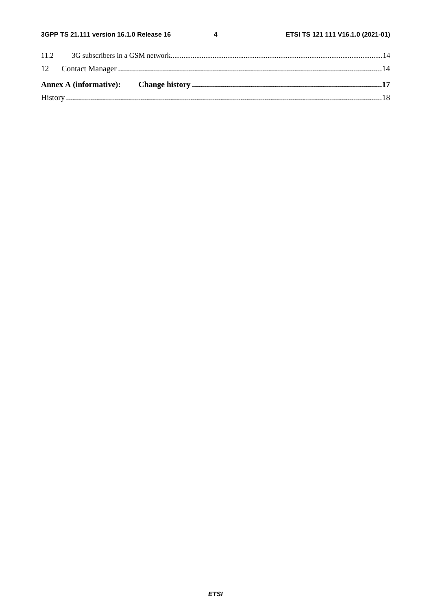$\overline{\mathbf{4}}$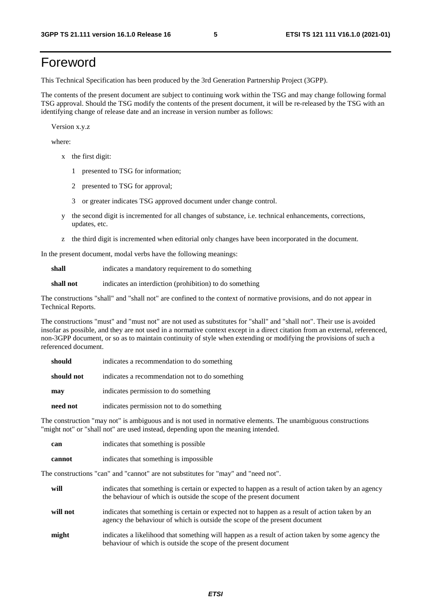# Foreword

This Technical Specification has been produced by the 3rd Generation Partnership Project (3GPP).

The contents of the present document are subject to continuing work within the TSG and may change following formal TSG approval. Should the TSG modify the contents of the present document, it will be re-released by the TSG with an identifying change of release date and an increase in version number as follows:

Version x.y.z

where:

- x the first digit:
	- 1 presented to TSG for information;
	- 2 presented to TSG for approval;
	- 3 or greater indicates TSG approved document under change control.
- y the second digit is incremented for all changes of substance, i.e. technical enhancements, corrections, updates, etc.
- z the third digit is incremented when editorial only changes have been incorporated in the document.

In the present document, modal verbs have the following meanings:

**shall** indicates a mandatory requirement to do something

**shall not** indicates an interdiction (prohibition) to do something

The constructions "shall" and "shall not" are confined to the context of normative provisions, and do not appear in Technical Reports.

The constructions "must" and "must not" are not used as substitutes for "shall" and "shall not". Their use is avoided insofar as possible, and they are not used in a normative context except in a direct citation from an external, referenced, non-3GPP document, or so as to maintain continuity of style when extending or modifying the provisions of such a referenced document.

| should     | indicates a recommendation to do something     |
|------------|------------------------------------------------|
| should not | indicates a recommendation not to do something |
| may        | indicates permission to do something           |
| need not   | indicates permission not to do something       |

The construction "may not" is ambiguous and is not used in normative elements. The unambiguous constructions "might not" or "shall not" are used instead, depending upon the meaning intended.

| can    | indicates that something is possible   |
|--------|----------------------------------------|
| cannot | indicates that something is impossible |

The constructions "can" and "cannot" are not substitutes for "may" and "need not".

| will     | indicates that something is certain or expected to happen as a result of action taken by an agency<br>the behaviour of which is outside the scope of the present document     |
|----------|-------------------------------------------------------------------------------------------------------------------------------------------------------------------------------|
| will not | indicates that something is certain or expected not to happen as a result of action taken by an<br>agency the behaviour of which is outside the scope of the present document |
| might    | indicates a likelihood that something will happen as a result of action taken by some agency the<br>behaviour of which is outside the scope of the present document           |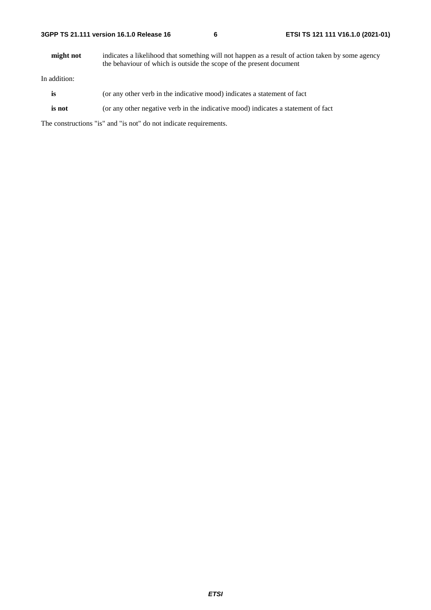**might not** indicates a likelihood that something will not happen as a result of action taken by some agency the behaviour of which is outside the scope of the present document

In addition:

- is (or any other verb in the indicative mood) indicates a statement of fact
- **is not** (or any other negative verb in the indicative mood) indicates a statement of fact

The constructions "is" and "is not" do not indicate requirements.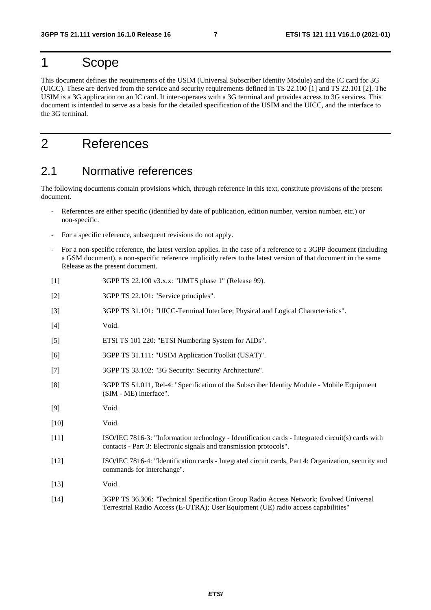# 1 Scope

This document defines the requirements of the USIM (Universal Subscriber Identity Module) and the IC card for 3G (UICC). These are derived from the service and security requirements defined in TS 22.100 [1] and TS 22.101 [2]. The USIM is a 3G application on an IC card. It inter-operates with a 3G terminal and provides access to 3G services. This document is intended to serve as a basis for the detailed specification of the USIM and the UICC, and the interface to the 3G terminal.

# 2 References

### 2.1 Normative references

The following documents contain provisions which, through reference in this text, constitute provisions of the present document.

- References are either specific (identified by date of publication, edition number, version number, etc.) or non-specific.
- For a specific reference, subsequent revisions do not apply.
- For a non-specific reference, the latest version applies. In the case of a reference to a 3GPP document (including a GSM document), a non-specific reference implicitly refers to the latest version of that document in the same Release as the present document.
- [1] 3GPP TS 22.100 v3.x.x: "UMTS phase 1" (Release 99).
- [2] 3GPP TS 22.101: "Service principles".
- [3] 3GPP TS 31.101: "UICC-Terminal Interface; Physical and Logical Characteristics".
- [4] Void.
- [5] ETSI TS 101 220: "ETSI Numbering System for AIDs".
- [6] 3GPP TS 31.111: "USIM Application Toolkit (USAT)".
- [7] 3GPP TS 33.102: "3G Security: Security Architecture".
- [8] 3GPP TS 51.011, Rel-4: "Specification of the Subscriber Identity Module Mobile Equipment (SIM - ME) interface".
- [9] Void.
- [10] **Void.**
- [11] ISO/IEC 7816-3: "Information technology Identification cards Integrated circuit(s) cards with contacts - Part 3: Electronic signals and transmission protocols".
- [12] ISO/IEC 7816-4: "Identification cards Integrated circuit cards, Part 4: Organization, security and commands for interchange".
- [13] **Void.**
- [14] 3GPP TS 36.306: "Technical Specification Group Radio Access Network; Evolved Universal Terrestrial Radio Access (E-UTRA); User Equipment (UE) radio access capabilities"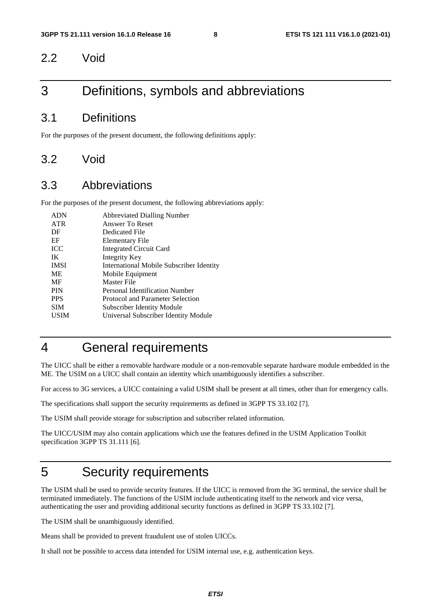### 2.2 Void

# 3 Definitions, symbols and abbreviations

### 3.1 Definitions

For the purposes of the present document, the following definitions apply:

### 3.2 Void

### 3.3 Abbreviations

For the purposes of the present document, the following abbreviations apply:

| <b>ADN</b>  | <b>Abbreviated Dialling Number</b>       |
|-------------|------------------------------------------|
| <b>ATR</b>  | Answer To Reset                          |
| DF          | Dedicated File                           |
| EF          | Elementary File                          |
| <b>ICC</b>  | <b>Integrated Circuit Card</b>           |
| IK          | Integrity Key                            |
| <b>IMSI</b> | International Mobile Subscriber Identity |
| <b>ME</b>   | Mobile Equipment                         |
| MF          | Master File                              |
| <b>PIN</b>  | Personal Identification Number           |
| <b>PPS</b>  | Protocol and Parameter Selection         |
| <b>SIM</b>  | <b>Subscriber Identity Module</b>        |
| <b>USIM</b> | Universal Subscriber Identity Module     |
|             |                                          |

# 4 General requirements

The UICC shall be either a removable hardware module or a non-removable separate hardware module embedded in the ME. The USIM on a UICC shall contain an identity which unambiguously identifies a subscriber.

For access to 3G services, a UICC containing a valid USIM shall be present at all times, other than for emergency calls.

The specifications shall support the security requirements as defined in 3GPP TS 33.102 [7].

The USIM shall provide storage for subscription and subscriber related information.

The UICC/USIM may also contain applications which use the features defined in the USIM Application Toolkit specification 3GPP TS 31.111 [6].

# 5 Security requirements

The USIM shall be used to provide security features. If the UICC is removed from the 3G terminal, the service shall be terminated immediately. The functions of the USIM include authenticating itself to the network and vice versa, authenticating the user and providing additional security functions as defined in 3GPP TS 33.102 [7].

The USIM shall be unambiguously identified.

Means shall be provided to prevent fraudulent use of stolen UICCs.

It shall not be possible to access data intended for USIM internal use, e.g. authentication keys.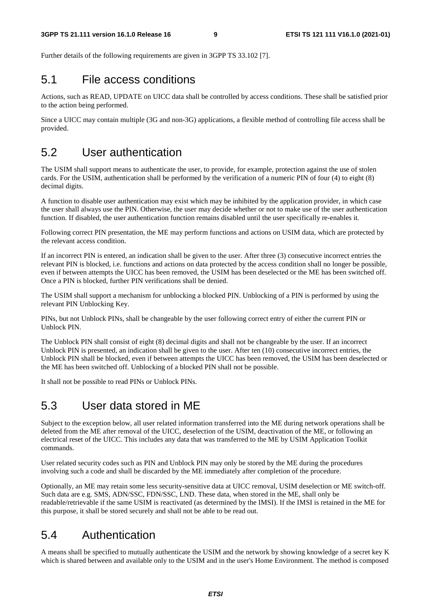Further details of the following requirements are given in 3GPP TS 33.102 [7].

### 5.1 File access conditions

Actions, such as READ, UPDATE on UICC data shall be controlled by access conditions. These shall be satisfied prior to the action being performed.

Since a UICC may contain multiple (3G and non-3G) applications, a flexible method of controlling file access shall be provided.

# 5.2 User authentication

The USIM shall support means to authenticate the user, to provide, for example, protection against the use of stolen cards. For the USIM, authentication shall be performed by the verification of a numeric PIN of four (4) to eight (8) decimal digits.

A function to disable user authentication may exist which may be inhibited by the application provider, in which case the user shall always use the PIN. Otherwise, the user may decide whether or not to make use of the user authentication function. If disabled, the user authentication function remains disabled until the user specifically re-enables it.

Following correct PIN presentation, the ME may perform functions and actions on USIM data, which are protected by the relevant access condition.

If an incorrect PIN is entered, an indication shall be given to the user. After three (3) consecutive incorrect entries the relevant PIN is blocked, i.e. functions and actions on data protected by the access condition shall no longer be possible, even if between attempts the UICC has been removed, the USIM has been deselected or the ME has been switched off. Once a PIN is blocked, further PIN verifications shall be denied.

The USIM shall support a mechanism for unblocking a blocked PIN. Unblocking of a PIN is performed by using the relevant PIN Unblocking Key.

PINs, but not Unblock PINs, shall be changeable by the user following correct entry of either the current PIN or Unblock PIN.

The Unblock PIN shall consist of eight (8) decimal digits and shall not be changeable by the user. If an incorrect Unblock PIN is presented, an indication shall be given to the user. After ten (10) consecutive incorrect entries, the Unblock PIN shall be blocked, even if between attempts the UICC has been removed, the USIM has been deselected or the ME has been switched off. Unblocking of a blocked PIN shall not be possible.

It shall not be possible to read PINs or Unblock PINs.

# 5.3 User data stored in ME

Subject to the exception below, all user related information transferred into the ME during network operations shall be deleted from the ME after removal of the UICC, deselection of the USIM, deactivation of the ME, or following an electrical reset of the UICC. This includes any data that was transferred to the ME by USIM Application Toolkit commands.

User related security codes such as PIN and Unblock PIN may only be stored by the ME during the procedures involving such a code and shall be discarded by the ME immediately after completion of the procedure.

Optionally, an ME may retain some less security-sensitive data at UICC removal, USIM deselection or ME switch-off. Such data are e.g. SMS, ADN/SSC, FDN/SSC, LND. These data, when stored in the ME, shall only be readable/retrievable if the same USIM is reactivated (as determined by the IMSI). If the IMSI is retained in the ME for this purpose, it shall be stored securely and shall not be able to be read out.

# 5.4 Authentication

A means shall be specified to mutually authenticate the USIM and the network by showing knowledge of a secret key K which is shared between and available only to the USIM and in the user's Home Environment. The method is composed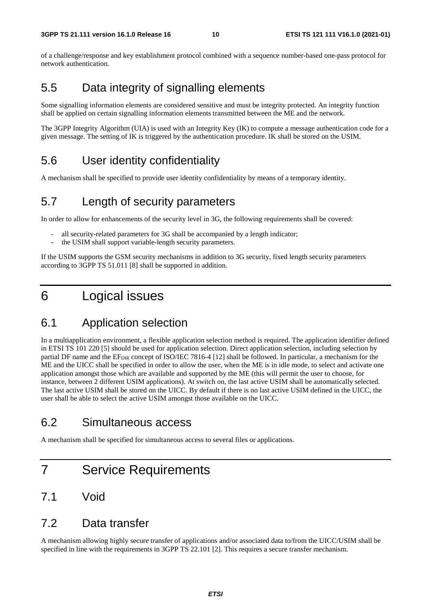of a challenge/response and key establishment protocol combined with a sequence number-based one-pass protocol for network authentication.

# 5.5 Data integrity of signalling elements

Some signalling information elements are considered sensitive and must be integrity protected. An integrity function shall be applied on certain signalling information elements transmitted between the ME and the network.

The 3GPP Integrity Algorithm (UIA) is used with an Integrity Key (IK) to compute a message authentication code for a given message. The setting of IK is triggered by the authentication procedure. IK shall be stored on the USIM.

# 5.6 User identity confidentiality

A mechanism shall be specified to provide user identity confidentiality by means of a temporary identity.

# 5.7 Length of security parameters

In order to allow for enhancements of the security level in 3G, the following requirements shall be covered:

- all security-related parameters for 3G shall be accompanied by a length indicator;
- the USIM shall support variable-length security parameters.

If the USIM supports the GSM security mechanisms in addition to 3G security, fixed length security parameters according to 3GPP TS 51.011 [8] shall be supported in addition.

# 6 Logical issues

# 6.1 Application selection

In a multiapplication environment, a flexible application selection method is required. The application identifier defined in ETSI TS 101 220 [5] should be used for application selection. Direct application selection, including selection by partial DF name and the EF<sub>DIR</sub> concept of ISO/IEC 7816-4 [12] shall be followed. In particular, a mechanism for the ME and the UICC shall be specified in order to allow the user, when the ME is in idle mode, to select and activate one application amongst those which are available and supported by the ME (this will permit the user to choose, for instance, between 2 different USIM applications). At switch on, the last active USIM shall be automatically selected. The last active USIM shall be stored on the UICC. By default if there is no last active USIM defined in the UICC, the user shall be able to select the active USIM amongst those available on the UICC.

# 6.2 Simultaneous access

A mechanism shall be specified for simultaneous access to several files or applications.

# 7 Service Requirements

# 7.1 Void

### 7.2 Data transfer

A mechanism allowing highly secure transfer of applications and/or associated data to/from the UICC/USIM shall be specified in line with the requirements in 3GPP TS 22.101 [2]. This requires a secure transfer mechanism.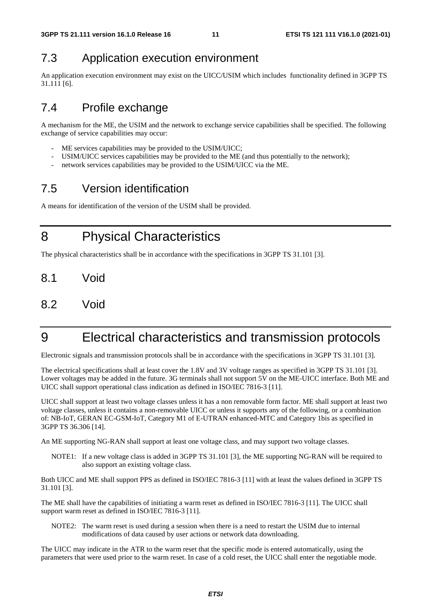# 7.3 Application execution environment

An application execution environment may exist on the UICC/USIM which includes functionality defined in 3GPP TS 31.111 [6].

# 7.4 Profile exchange

A mechanism for the ME, the USIM and the network to exchange service capabilities shall be specified. The following exchange of service capabilities may occur:

- ME services capabilities may be provided to the USIM/UICC;
- USIM/UICC services capabilities may be provided to the ME (and thus potentially to the network);
- network services capabilities may be provided to the USIM/UICC via the ME.

# 7.5 Version identification

A means for identification of the version of the USIM shall be provided.

8 Physical Characteristics

The physical characteristics shall be in accordance with the specifications in 3GPP TS 31.101 [3].

- 8.1 Void
- 8.2 Void

# 9 Electrical characteristics and transmission protocols

Electronic signals and transmission protocols shall be in accordance with the specifications in 3GPP TS 31.101 [3].

The electrical specifications shall at least cover the 1.8V and 3V voltage ranges as specified in 3GPP TS 31.101 [3]. Lower voltages may be added in the future. 3G terminals shall not support 5V on the ME-UICC interface. Both ME and UICC shall support operational class indication as defined in ISO/IEC 7816-3 [11].

UICC shall support at least two voltage classes unless it has a non removable form factor. ME shall support at least two voltage classes, unless it contains a non-removable UICC or unless it supports any of the following, or a combination of: NB-IoT, GERAN EC-GSM-IoT, Category M1 of E-UTRAN enhanced-MTC and Category 1bis as specified in 3GPP TS 36.306 [14].

An ME supporting NG-RAN shall support at least one voltage class, and may support two voltage classes.

NOTE1: If a new voltage class is added in 3GPP TS 31.101 [3], the ME supporting NG-RAN will be required to also support an existing voltage class.

Both UICC and ME shall support PPS as defined in ISO/IEC 7816-3 [11] with at least the values defined in 3GPP TS 31.101 [3].

The ME shall have the capabilities of initiating a warm reset as defined in ISO/IEC 7816-3 [11]. The UICC shall support warm reset as defined in ISO/IEC 7816-3 [11].

NOTE2: The warm reset is used during a session when there is a need to restart the USIM due to internal modifications of data caused by user actions or network data downloading.

The UICC may indicate in the ATR to the warm reset that the specific mode is entered automatically, using the parameters that were used prior to the warm reset. In case of a cold reset, the UICC shall enter the negotiable mode.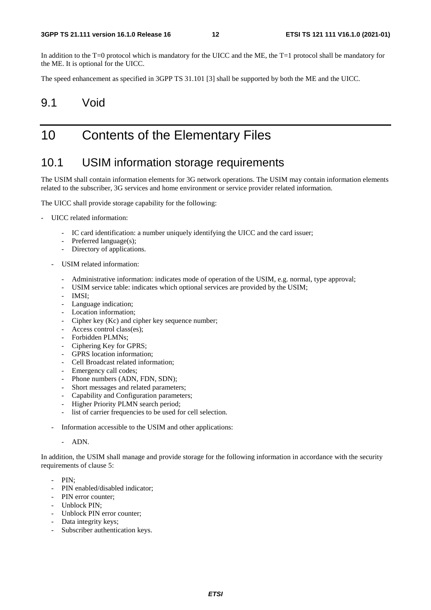In addition to the T=0 protocol which is mandatory for the UICC and the ME, the T=1 protocol shall be mandatory for the ME. It is optional for the UICC.

The speed enhancement as specified in 3GPP TS 31.101 [3] shall be supported by both the ME and the UICC.

### 9.1 Void

# 10 Contents of the Elementary Files

### 10.1 USIM information storage requirements

The USIM shall contain information elements for 3G network operations. The USIM may contain information elements related to the subscriber, 3G services and home environment or service provider related information.

The UICC shall provide storage capability for the following:

- UICC related information:
	- IC card identification: a number uniquely identifying the UICC and the card issuer;
	- Preferred language(s);
	- Directory of applications.
	- USIM related information:
		- Administrative information: indicates mode of operation of the USIM, e.g. normal, type approval;
		- USIM service table: indicates which optional services are provided by the USIM;
		- IMSI;
		- Language indication;
		- Location information;
		- Cipher key (Kc) and cipher key sequence number;
		- Access control class(es);
		- Forbidden PLMNs;
		- Ciphering Key for GPRS:
		- GPRS location information:
		- Cell Broadcast related information;
		- Emergency call codes;
		- Phone numbers (ADN, FDN, SDN);
		- Short messages and related parameters;
		- Capability and Configuration parameters;
		- Higher Priority PLMN search period;
		- list of carrier frequencies to be used for cell selection.
	- Information accessible to the USIM and other applications:
		- ADN.

In addition, the USIM shall manage and provide storage for the following information in accordance with the security requirements of clause 5:

- PIN;
- PIN enabled/disabled indicator;
- PIN error counter:
- Unblock PIN;
- Unblock PIN error counter;
- Data integrity keys;
- Subscriber authentication keys.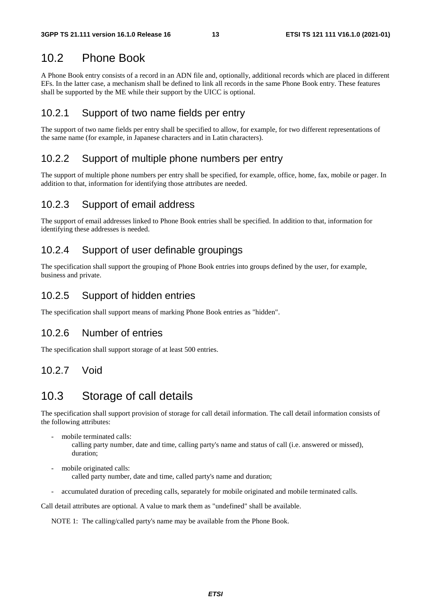### 10.2 Phone Book

A Phone Book entry consists of a record in an ADN file and, optionally, additional records which are placed in different EFs. In the latter case, a mechanism shall be defined to link all records in the same Phone Book entry. These features shall be supported by the ME while their support by the UICC is optional.

#### 10.2.1 Support of two name fields per entry

The support of two name fields per entry shall be specified to allow, for example, for two different representations of the same name (for example, in Japanese characters and in Latin characters).

#### 10.2.2 Support of multiple phone numbers per entry

The support of multiple phone numbers per entry shall be specified, for example, office, home, fax, mobile or pager. In addition to that, information for identifying those attributes are needed.

#### 10.2.3 Support of email address

The support of email addresses linked to Phone Book entries shall be specified. In addition to that, information for identifying these addresses is needed.

#### 10.2.4 Support of user definable groupings

The specification shall support the grouping of Phone Book entries into groups defined by the user, for example, business and private.

#### 10.2.5 Support of hidden entries

The specification shall support means of marking Phone Book entries as "hidden".

#### 10.2.6 Number of entries

The specification shall support storage of at least 500 entries.

#### 10.2.7 Void

# 10.3 Storage of call details

The specification shall support provision of storage for call detail information. The call detail information consists of the following attributes:

mobile terminated calls:

 calling party number, date and time, calling party's name and status of call (i.e. answered or missed), duration;

mobile originated calls:

called party number, date and time, called party's name and duration;

- accumulated duration of preceding calls, separately for mobile originated and mobile terminated calls.

Call detail attributes are optional. A value to mark them as "undefined" shall be available.

NOTE 1: The calling/called party's name may be available from the Phone Book.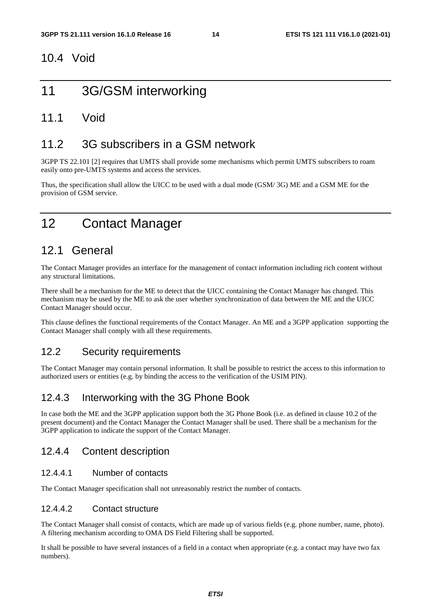### 10.4 Void

# 11 3G/GSM interworking

### 11.1 Void

# 11.2 3G subscribers in a GSM network

3GPP TS 22.101 [2] requires that UMTS shall provide some mechanisms which permit UMTS subscribers to roam easily onto pre-UMTS systems and access the services.

Thus, the specification shall allow the UICC to be used with a dual mode (GSM/ 3G) ME and a GSM ME for the provision of GSM service.

# 12 Contact Manager

# 12.1 General

The Contact Manager provides an interface for the management of contact information including rich content without any structural limitations.

There shall be a mechanism for the ME to detect that the UICC containing the Contact Manager has changed. This mechanism may be used by the ME to ask the user whether synchronization of data between the ME and the UICC Contact Manager should occur.

This clause defines the functional requirements of the Contact Manager. An ME and a 3GPP application supporting the Contact Manager shall comply with all these requirements.

### 12.2 Security requirements

The Contact Manager may contain personal information. It shall be possible to restrict the access to this information to authorized users or entities (e.g. by binding the access to the verification of the USIM PIN).

### 12.4.3 Interworking with the 3G Phone Book

In case both the ME and the 3GPP application support both the 3G Phone Book (i.e. as defined in clause 10.2 of the present document) and the Contact Manager the Contact Manager shall be used. There shall be a mechanism for the 3GPP application to indicate the support of the Contact Manager.

### 12.4.4 Content description

#### 12.4.4.1 Number of contacts

The Contact Manager specification shall not unreasonably restrict the number of contacts.

#### 12.4.4.2 Contact structure

The Contact Manager shall consist of contacts, which are made up of various fields (e.g. phone number, name, photo). A filtering mechanism according to OMA DS Field Filtering shall be supported.

It shall be possible to have several instances of a field in a contact when appropriate (e.g. a contact may have two fax numbers).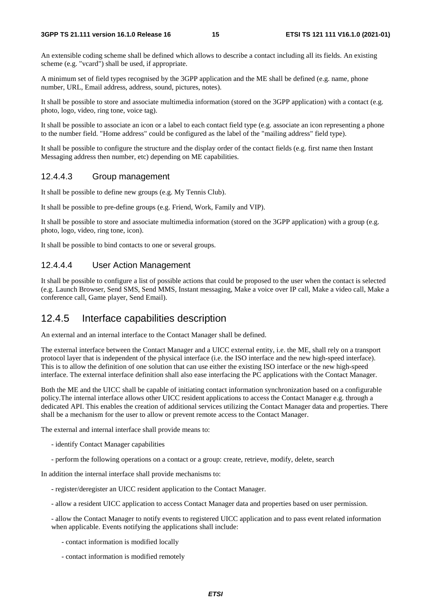An extensible coding scheme shall be defined which allows to describe a contact including all its fields. An existing scheme (e.g. "vcard") shall be used, if appropriate.

A minimum set of field types recognised by the 3GPP application and the ME shall be defined (e.g. name, phone number, URL, Email address, address, sound, pictures, notes).

It shall be possible to store and associate multimedia information (stored on the 3GPP application) with a contact (e.g. photo, logo, video, ring tone, voice tag).

It shall be possible to associate an icon or a label to each contact field type (e.g. associate an icon representing a phone to the number field. "Home address" could be configured as the label of the "mailing address" field type).

It shall be possible to configure the structure and the display order of the contact fields (e.g. first name then Instant Messaging address then number, etc) depending on ME capabilities.

#### 12.4.4.3 Group management

It shall be possible to define new groups (e.g. My Tennis Club).

It shall be possible to pre-define groups (e.g. Friend, Work, Family and VIP).

It shall be possible to store and associate multimedia information (stored on the 3GPP application) with a group (e.g. photo, logo, video, ring tone, icon).

It shall be possible to bind contacts to one or several groups.

#### 12.4.4.4 User Action Management

It shall be possible to configure a list of possible actions that could be proposed to the user when the contact is selected (e.g. Launch Browser, Send SMS, Send MMS, Instant messaging, Make a voice over IP call, Make a video call, Make a conference call, Game player, Send Email).

#### 12.4.5 Interface capabilities description

An external and an internal interface to the Contact Manager shall be defined.

The external interface between the Contact Manager and a UICC external entity, i.e. the ME, shall rely on a transport protocol layer that is independent of the physical interface (i.e. the ISO interface and the new high-speed interface). This is to allow the definition of one solution that can use either the existing ISO interface or the new high-speed interface. The external interface definition shall also ease interfacing the PC applications with the Contact Manager.

Both the ME and the UICC shall be capable of initiating contact information synchronization based on a configurable policy.The internal interface allows other UICC resident applications to access the Contact Manager e.g. through a dedicated API. This enables the creation of additional services utilizing the Contact Manager data and properties. There shall be a mechanism for the user to allow or prevent remote access to the Contact Manager.

The external and internal interface shall provide means to:

- identify Contact Manager capabilities
- perform the following operations on a contact or a group: create, retrieve, modify, delete, search

In addition the internal interface shall provide mechanisms to:

- register/deregister an UICC resident application to the Contact Manager.
- allow a resident UICC application to access Contact Manager data and properties based on user permission.

- allow the Contact Manager to notify events to registered UICC application and to pass event related information when applicable. Events notifying the applications shall include:

- contact information is modified locally
- contact information is modified remotely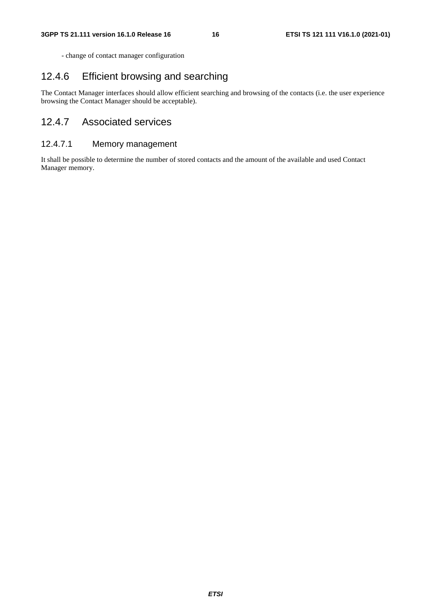- change of contact manager configuration

### 12.4.6 Efficient browsing and searching

The Contact Manager interfaces should allow efficient searching and browsing of the contacts (i.e. the user experience browsing the Contact Manager should be acceptable).

### 12.4.7 Associated services

#### 12.4.7.1 Memory management

It shall be possible to determine the number of stored contacts and the amount of the available and used Contact Manager memory.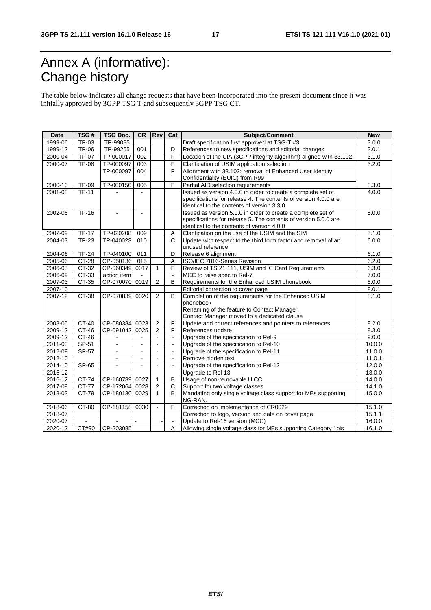# Annex A (informative): Change history

The table below indicates all change requests that have been incorporated into the present document since it was initially approved by 3GPP TSG T and subsequently 3GPP TSG CT.

| 1999-06<br>TP-03<br>TP-99085<br>Draft specification first approved at TSG-T #3<br>3.0.0<br><b>TP-06</b><br>1999-12<br>TP-99255<br>References to new specifications and editorial changes<br>001<br>D<br>3.0.1<br>$\overline{F}$<br>2000-04<br><b>TP-07</b><br>TP-000017<br>002<br>Location of the UIA (3GPP integrity algorithm) aligned with 33.102<br>3.1.0<br><b>TP-08</b><br>TP-000097<br>Clarification of USIM application selection<br>2000-07<br>003<br>F<br>3.2.0<br>TP-000097<br>F<br>Alignment with 33.102: removal of Enhanced User Identity<br>004<br>Confidentiality (EUIC) from R99<br>F<br><b>TP-09</b><br>2000-10<br>TP-000150<br>005<br>Partial AID selection requirements<br>3.3.0<br><b>TP-11</b><br>Issued as version 4.0.0 in order to create a complete set of<br>2001-03<br>4.0.0<br>$\overline{a}$<br>specifications for release 4. The contents of version 4.0.0 are<br>identical to the contents of version 3.3.0<br>$TP-16$<br>2002-06<br>Issued as version 5.0.0 in order to create a complete set of<br>5.0.0<br>$\blacksquare$<br>specifications for release 5. The contents of version 5.0.0 are<br>identical to the contents of version 4.0.0<br>2002-09<br><b>TP-17</b><br>Clarification on the use of the USIM and the SIM<br>TP-020208<br>009<br>5.1.0<br>A<br>2004-03<br><b>TP-23</b><br>TP-040023<br>Update with respect to the third form factor and removal of an<br>6.0.0<br>010<br>C<br>unused reference<br><b>TP-24</b><br>TP-040100<br>011<br>Release 6 alignment<br>2004-06<br>D<br>6.1.0<br>2005-06<br><b>CT-28</b><br>CP-050136<br>015<br>ISO/IEC 7816-Series Revision<br>6.2.0<br>A<br>CT-32<br>2006-05<br>CP-060349<br>0017<br>F<br>Review of TS 21.111, USIM and IC Card Requirements<br>6.3.0<br>1<br>$2006 - 09$<br>CT-33<br>action item<br>MCC to raise spec to Rel-7<br>7.0.0<br>$\mathbf{r}$<br>$CT-35$<br>CP-070070 0019<br>$\overline{2}$<br>Requirements for the Enhanced USIM phonebook<br>2007-03<br>B<br>8.0.0<br>2007-10<br>Editorial correction to cover page<br>8.0.1<br>Completion of the requirements for the Enhanced USIM<br>CP-070839 0020<br>2007-12<br>CT-38<br>2<br>B<br>8.1.0<br>phonebook<br>Renaming of the feature to Contact Manager.<br>Contact Manager moved to a dedicated clause<br>CT-40<br>CP-080384<br>$\overline{2}$<br>F<br>2008-05<br>0023<br>Update and correct references and pointers to references<br>8.2.0<br>F<br>CP-091042<br>$\overline{2}$<br>2009-12<br>CT-46<br>0025<br>References update<br>8.3.0<br>Upgrade of the specification to Rel-9<br>2009-12<br>CT-46<br>9.0.0<br>$\blacksquare$<br>$\blacksquare$<br>$\blacksquare$<br>2011-03<br>SP-51<br>Upgrade of the specification to Rel-10<br>10.0.0<br>$\mathbf{r}$<br>$\blacksquare$<br>$\blacksquare$<br>$SP-57$<br>2012-09<br>Upgrade of the specification to Rel-11<br>11.0.0<br>$\blacksquare$<br>$\blacksquare$<br>Remove hidden text<br>2012-10<br>11.0.1<br>$\mathbf{r}$<br>$\sim$<br>$\blacksquare$<br>$\blacksquare$<br>2014-10<br>SP-65<br>Upgrade of the specification to Rel-12<br>12.0.0<br>$\blacksquare$<br>$\blacksquare$<br>$\blacksquare$<br>$\blacksquare$<br>Upgrade to Rel-13<br>2015-12<br>13.0.0<br>2016-12<br>CT-74<br>CP-160789<br>Usage of non-removable UICC<br>14.0.0<br>0027<br>1<br>B<br>$\overline{2}$<br>CT-77<br>CP-172064<br>C<br>2017-09<br>0028<br>Support for two voltage classes<br>14.1.0<br>Mandating only single voltage class support for MEs supporting<br>2018-03<br>CT-79<br>CP-180130<br>$\overline{1}$<br>B<br>15.0.0<br>0029<br>NG-RAN.<br>F<br>Correction on implementation of CR0029<br>2018-06<br>CT-80<br>CP-181158 0030<br>15.1.0<br>$\blacksquare$<br>2018-07<br>Correction to logo, version and date on cover page<br>15.1.1<br>Update to Rel-16 version (MCC)<br>2020-07<br>16.0.0<br>$\blacksquare$<br>$\blacksquare$ | <b>Date</b> | TSG#  | <b>TSG Doc.</b> | <b>CR</b> | <b>Rev</b> | Cat | <b>Subject/Comment</b>                                         | <b>New</b> |
|-------------------------------------------------------------------------------------------------------------------------------------------------------------------------------------------------------------------------------------------------------------------------------------------------------------------------------------------------------------------------------------------------------------------------------------------------------------------------------------------------------------------------------------------------------------------------------------------------------------------------------------------------------------------------------------------------------------------------------------------------------------------------------------------------------------------------------------------------------------------------------------------------------------------------------------------------------------------------------------------------------------------------------------------------------------------------------------------------------------------------------------------------------------------------------------------------------------------------------------------------------------------------------------------------------------------------------------------------------------------------------------------------------------------------------------------------------------------------------------------------------------------------------------------------------------------------------------------------------------------------------------------------------------------------------------------------------------------------------------------------------------------------------------------------------------------------------------------------------------------------------------------------------------------------------------------------------------------------------------------------------------------------------------------------------------------------------------------------------------------------------------------------------------------------------------------------------------------------------------------------------------------------------------------------------------------------------------------------------------------------------------------------------------------------------------------------------------------------------------------------------------------------------------------------------------------------------------------------------------------------------------------------------------------------------------------------------------------------------------------------------------------------------------------------------------------------------------------------------------------------------------------------------------------------------------------------------------------------------------------------------------------------------------------------------------------------------------------------------------------------------------------------------------------------------------------------------------------------------------------------------------------------------------------------------------------------------------------------------------------------------------------------------------------------------------------------------------------------------------------------------------------------------------------------------------------------------------------------------------------------------------------------------------------------------------------------------------------------------------------------------------------------------------------------------------------------------------|-------------|-------|-----------------|-----------|------------|-----|----------------------------------------------------------------|------------|
|                                                                                                                                                                                                                                                                                                                                                                                                                                                                                                                                                                                                                                                                                                                                                                                                                                                                                                                                                                                                                                                                                                                                                                                                                                                                                                                                                                                                                                                                                                                                                                                                                                                                                                                                                                                                                                                                                                                                                                                                                                                                                                                                                                                                                                                                                                                                                                                                                                                                                                                                                                                                                                                                                                                                                                                                                                                                                                                                                                                                                                                                                                                                                                                                                                                                                                                                                                                                                                                                                                                                                                                                                                                                                                                                                                                                                                     |             |       |                 |           |            |     |                                                                |            |
|                                                                                                                                                                                                                                                                                                                                                                                                                                                                                                                                                                                                                                                                                                                                                                                                                                                                                                                                                                                                                                                                                                                                                                                                                                                                                                                                                                                                                                                                                                                                                                                                                                                                                                                                                                                                                                                                                                                                                                                                                                                                                                                                                                                                                                                                                                                                                                                                                                                                                                                                                                                                                                                                                                                                                                                                                                                                                                                                                                                                                                                                                                                                                                                                                                                                                                                                                                                                                                                                                                                                                                                                                                                                                                                                                                                                                                     |             |       |                 |           |            |     |                                                                |            |
|                                                                                                                                                                                                                                                                                                                                                                                                                                                                                                                                                                                                                                                                                                                                                                                                                                                                                                                                                                                                                                                                                                                                                                                                                                                                                                                                                                                                                                                                                                                                                                                                                                                                                                                                                                                                                                                                                                                                                                                                                                                                                                                                                                                                                                                                                                                                                                                                                                                                                                                                                                                                                                                                                                                                                                                                                                                                                                                                                                                                                                                                                                                                                                                                                                                                                                                                                                                                                                                                                                                                                                                                                                                                                                                                                                                                                                     |             |       |                 |           |            |     |                                                                |            |
|                                                                                                                                                                                                                                                                                                                                                                                                                                                                                                                                                                                                                                                                                                                                                                                                                                                                                                                                                                                                                                                                                                                                                                                                                                                                                                                                                                                                                                                                                                                                                                                                                                                                                                                                                                                                                                                                                                                                                                                                                                                                                                                                                                                                                                                                                                                                                                                                                                                                                                                                                                                                                                                                                                                                                                                                                                                                                                                                                                                                                                                                                                                                                                                                                                                                                                                                                                                                                                                                                                                                                                                                                                                                                                                                                                                                                                     |             |       |                 |           |            |     |                                                                |            |
|                                                                                                                                                                                                                                                                                                                                                                                                                                                                                                                                                                                                                                                                                                                                                                                                                                                                                                                                                                                                                                                                                                                                                                                                                                                                                                                                                                                                                                                                                                                                                                                                                                                                                                                                                                                                                                                                                                                                                                                                                                                                                                                                                                                                                                                                                                                                                                                                                                                                                                                                                                                                                                                                                                                                                                                                                                                                                                                                                                                                                                                                                                                                                                                                                                                                                                                                                                                                                                                                                                                                                                                                                                                                                                                                                                                                                                     |             |       |                 |           |            |     |                                                                |            |
|                                                                                                                                                                                                                                                                                                                                                                                                                                                                                                                                                                                                                                                                                                                                                                                                                                                                                                                                                                                                                                                                                                                                                                                                                                                                                                                                                                                                                                                                                                                                                                                                                                                                                                                                                                                                                                                                                                                                                                                                                                                                                                                                                                                                                                                                                                                                                                                                                                                                                                                                                                                                                                                                                                                                                                                                                                                                                                                                                                                                                                                                                                                                                                                                                                                                                                                                                                                                                                                                                                                                                                                                                                                                                                                                                                                                                                     |             |       |                 |           |            |     |                                                                |            |
|                                                                                                                                                                                                                                                                                                                                                                                                                                                                                                                                                                                                                                                                                                                                                                                                                                                                                                                                                                                                                                                                                                                                                                                                                                                                                                                                                                                                                                                                                                                                                                                                                                                                                                                                                                                                                                                                                                                                                                                                                                                                                                                                                                                                                                                                                                                                                                                                                                                                                                                                                                                                                                                                                                                                                                                                                                                                                                                                                                                                                                                                                                                                                                                                                                                                                                                                                                                                                                                                                                                                                                                                                                                                                                                                                                                                                                     |             |       |                 |           |            |     |                                                                |            |
|                                                                                                                                                                                                                                                                                                                                                                                                                                                                                                                                                                                                                                                                                                                                                                                                                                                                                                                                                                                                                                                                                                                                                                                                                                                                                                                                                                                                                                                                                                                                                                                                                                                                                                                                                                                                                                                                                                                                                                                                                                                                                                                                                                                                                                                                                                                                                                                                                                                                                                                                                                                                                                                                                                                                                                                                                                                                                                                                                                                                                                                                                                                                                                                                                                                                                                                                                                                                                                                                                                                                                                                                                                                                                                                                                                                                                                     |             |       |                 |           |            |     |                                                                |            |
|                                                                                                                                                                                                                                                                                                                                                                                                                                                                                                                                                                                                                                                                                                                                                                                                                                                                                                                                                                                                                                                                                                                                                                                                                                                                                                                                                                                                                                                                                                                                                                                                                                                                                                                                                                                                                                                                                                                                                                                                                                                                                                                                                                                                                                                                                                                                                                                                                                                                                                                                                                                                                                                                                                                                                                                                                                                                                                                                                                                                                                                                                                                                                                                                                                                                                                                                                                                                                                                                                                                                                                                                                                                                                                                                                                                                                                     |             |       |                 |           |            |     |                                                                |            |
|                                                                                                                                                                                                                                                                                                                                                                                                                                                                                                                                                                                                                                                                                                                                                                                                                                                                                                                                                                                                                                                                                                                                                                                                                                                                                                                                                                                                                                                                                                                                                                                                                                                                                                                                                                                                                                                                                                                                                                                                                                                                                                                                                                                                                                                                                                                                                                                                                                                                                                                                                                                                                                                                                                                                                                                                                                                                                                                                                                                                                                                                                                                                                                                                                                                                                                                                                                                                                                                                                                                                                                                                                                                                                                                                                                                                                                     |             |       |                 |           |            |     |                                                                |            |
|                                                                                                                                                                                                                                                                                                                                                                                                                                                                                                                                                                                                                                                                                                                                                                                                                                                                                                                                                                                                                                                                                                                                                                                                                                                                                                                                                                                                                                                                                                                                                                                                                                                                                                                                                                                                                                                                                                                                                                                                                                                                                                                                                                                                                                                                                                                                                                                                                                                                                                                                                                                                                                                                                                                                                                                                                                                                                                                                                                                                                                                                                                                                                                                                                                                                                                                                                                                                                                                                                                                                                                                                                                                                                                                                                                                                                                     |             |       |                 |           |            |     |                                                                |            |
|                                                                                                                                                                                                                                                                                                                                                                                                                                                                                                                                                                                                                                                                                                                                                                                                                                                                                                                                                                                                                                                                                                                                                                                                                                                                                                                                                                                                                                                                                                                                                                                                                                                                                                                                                                                                                                                                                                                                                                                                                                                                                                                                                                                                                                                                                                                                                                                                                                                                                                                                                                                                                                                                                                                                                                                                                                                                                                                                                                                                                                                                                                                                                                                                                                                                                                                                                                                                                                                                                                                                                                                                                                                                                                                                                                                                                                     |             |       |                 |           |            |     |                                                                |            |
|                                                                                                                                                                                                                                                                                                                                                                                                                                                                                                                                                                                                                                                                                                                                                                                                                                                                                                                                                                                                                                                                                                                                                                                                                                                                                                                                                                                                                                                                                                                                                                                                                                                                                                                                                                                                                                                                                                                                                                                                                                                                                                                                                                                                                                                                                                                                                                                                                                                                                                                                                                                                                                                                                                                                                                                                                                                                                                                                                                                                                                                                                                                                                                                                                                                                                                                                                                                                                                                                                                                                                                                                                                                                                                                                                                                                                                     |             |       |                 |           |            |     |                                                                |            |
|                                                                                                                                                                                                                                                                                                                                                                                                                                                                                                                                                                                                                                                                                                                                                                                                                                                                                                                                                                                                                                                                                                                                                                                                                                                                                                                                                                                                                                                                                                                                                                                                                                                                                                                                                                                                                                                                                                                                                                                                                                                                                                                                                                                                                                                                                                                                                                                                                                                                                                                                                                                                                                                                                                                                                                                                                                                                                                                                                                                                                                                                                                                                                                                                                                                                                                                                                                                                                                                                                                                                                                                                                                                                                                                                                                                                                                     |             |       |                 |           |            |     |                                                                |            |
|                                                                                                                                                                                                                                                                                                                                                                                                                                                                                                                                                                                                                                                                                                                                                                                                                                                                                                                                                                                                                                                                                                                                                                                                                                                                                                                                                                                                                                                                                                                                                                                                                                                                                                                                                                                                                                                                                                                                                                                                                                                                                                                                                                                                                                                                                                                                                                                                                                                                                                                                                                                                                                                                                                                                                                                                                                                                                                                                                                                                                                                                                                                                                                                                                                                                                                                                                                                                                                                                                                                                                                                                                                                                                                                                                                                                                                     |             |       |                 |           |            |     |                                                                |            |
|                                                                                                                                                                                                                                                                                                                                                                                                                                                                                                                                                                                                                                                                                                                                                                                                                                                                                                                                                                                                                                                                                                                                                                                                                                                                                                                                                                                                                                                                                                                                                                                                                                                                                                                                                                                                                                                                                                                                                                                                                                                                                                                                                                                                                                                                                                                                                                                                                                                                                                                                                                                                                                                                                                                                                                                                                                                                                                                                                                                                                                                                                                                                                                                                                                                                                                                                                                                                                                                                                                                                                                                                                                                                                                                                                                                                                                     |             |       |                 |           |            |     |                                                                |            |
|                                                                                                                                                                                                                                                                                                                                                                                                                                                                                                                                                                                                                                                                                                                                                                                                                                                                                                                                                                                                                                                                                                                                                                                                                                                                                                                                                                                                                                                                                                                                                                                                                                                                                                                                                                                                                                                                                                                                                                                                                                                                                                                                                                                                                                                                                                                                                                                                                                                                                                                                                                                                                                                                                                                                                                                                                                                                                                                                                                                                                                                                                                                                                                                                                                                                                                                                                                                                                                                                                                                                                                                                                                                                                                                                                                                                                                     |             |       |                 |           |            |     |                                                                |            |
|                                                                                                                                                                                                                                                                                                                                                                                                                                                                                                                                                                                                                                                                                                                                                                                                                                                                                                                                                                                                                                                                                                                                                                                                                                                                                                                                                                                                                                                                                                                                                                                                                                                                                                                                                                                                                                                                                                                                                                                                                                                                                                                                                                                                                                                                                                                                                                                                                                                                                                                                                                                                                                                                                                                                                                                                                                                                                                                                                                                                                                                                                                                                                                                                                                                                                                                                                                                                                                                                                                                                                                                                                                                                                                                                                                                                                                     |             |       |                 |           |            |     |                                                                |            |
|                                                                                                                                                                                                                                                                                                                                                                                                                                                                                                                                                                                                                                                                                                                                                                                                                                                                                                                                                                                                                                                                                                                                                                                                                                                                                                                                                                                                                                                                                                                                                                                                                                                                                                                                                                                                                                                                                                                                                                                                                                                                                                                                                                                                                                                                                                                                                                                                                                                                                                                                                                                                                                                                                                                                                                                                                                                                                                                                                                                                                                                                                                                                                                                                                                                                                                                                                                                                                                                                                                                                                                                                                                                                                                                                                                                                                                     |             |       |                 |           |            |     |                                                                |            |
|                                                                                                                                                                                                                                                                                                                                                                                                                                                                                                                                                                                                                                                                                                                                                                                                                                                                                                                                                                                                                                                                                                                                                                                                                                                                                                                                                                                                                                                                                                                                                                                                                                                                                                                                                                                                                                                                                                                                                                                                                                                                                                                                                                                                                                                                                                                                                                                                                                                                                                                                                                                                                                                                                                                                                                                                                                                                                                                                                                                                                                                                                                                                                                                                                                                                                                                                                                                                                                                                                                                                                                                                                                                                                                                                                                                                                                     |             |       |                 |           |            |     |                                                                |            |
|                                                                                                                                                                                                                                                                                                                                                                                                                                                                                                                                                                                                                                                                                                                                                                                                                                                                                                                                                                                                                                                                                                                                                                                                                                                                                                                                                                                                                                                                                                                                                                                                                                                                                                                                                                                                                                                                                                                                                                                                                                                                                                                                                                                                                                                                                                                                                                                                                                                                                                                                                                                                                                                                                                                                                                                                                                                                                                                                                                                                                                                                                                                                                                                                                                                                                                                                                                                                                                                                                                                                                                                                                                                                                                                                                                                                                                     |             |       |                 |           |            |     |                                                                |            |
|                                                                                                                                                                                                                                                                                                                                                                                                                                                                                                                                                                                                                                                                                                                                                                                                                                                                                                                                                                                                                                                                                                                                                                                                                                                                                                                                                                                                                                                                                                                                                                                                                                                                                                                                                                                                                                                                                                                                                                                                                                                                                                                                                                                                                                                                                                                                                                                                                                                                                                                                                                                                                                                                                                                                                                                                                                                                                                                                                                                                                                                                                                                                                                                                                                                                                                                                                                                                                                                                                                                                                                                                                                                                                                                                                                                                                                     |             |       |                 |           |            |     |                                                                |            |
|                                                                                                                                                                                                                                                                                                                                                                                                                                                                                                                                                                                                                                                                                                                                                                                                                                                                                                                                                                                                                                                                                                                                                                                                                                                                                                                                                                                                                                                                                                                                                                                                                                                                                                                                                                                                                                                                                                                                                                                                                                                                                                                                                                                                                                                                                                                                                                                                                                                                                                                                                                                                                                                                                                                                                                                                                                                                                                                                                                                                                                                                                                                                                                                                                                                                                                                                                                                                                                                                                                                                                                                                                                                                                                                                                                                                                                     |             |       |                 |           |            |     |                                                                |            |
|                                                                                                                                                                                                                                                                                                                                                                                                                                                                                                                                                                                                                                                                                                                                                                                                                                                                                                                                                                                                                                                                                                                                                                                                                                                                                                                                                                                                                                                                                                                                                                                                                                                                                                                                                                                                                                                                                                                                                                                                                                                                                                                                                                                                                                                                                                                                                                                                                                                                                                                                                                                                                                                                                                                                                                                                                                                                                                                                                                                                                                                                                                                                                                                                                                                                                                                                                                                                                                                                                                                                                                                                                                                                                                                                                                                                                                     |             |       |                 |           |            |     |                                                                |            |
|                                                                                                                                                                                                                                                                                                                                                                                                                                                                                                                                                                                                                                                                                                                                                                                                                                                                                                                                                                                                                                                                                                                                                                                                                                                                                                                                                                                                                                                                                                                                                                                                                                                                                                                                                                                                                                                                                                                                                                                                                                                                                                                                                                                                                                                                                                                                                                                                                                                                                                                                                                                                                                                                                                                                                                                                                                                                                                                                                                                                                                                                                                                                                                                                                                                                                                                                                                                                                                                                                                                                                                                                                                                                                                                                                                                                                                     |             |       |                 |           |            |     |                                                                |            |
|                                                                                                                                                                                                                                                                                                                                                                                                                                                                                                                                                                                                                                                                                                                                                                                                                                                                                                                                                                                                                                                                                                                                                                                                                                                                                                                                                                                                                                                                                                                                                                                                                                                                                                                                                                                                                                                                                                                                                                                                                                                                                                                                                                                                                                                                                                                                                                                                                                                                                                                                                                                                                                                                                                                                                                                                                                                                                                                                                                                                                                                                                                                                                                                                                                                                                                                                                                                                                                                                                                                                                                                                                                                                                                                                                                                                                                     |             |       |                 |           |            |     |                                                                |            |
|                                                                                                                                                                                                                                                                                                                                                                                                                                                                                                                                                                                                                                                                                                                                                                                                                                                                                                                                                                                                                                                                                                                                                                                                                                                                                                                                                                                                                                                                                                                                                                                                                                                                                                                                                                                                                                                                                                                                                                                                                                                                                                                                                                                                                                                                                                                                                                                                                                                                                                                                                                                                                                                                                                                                                                                                                                                                                                                                                                                                                                                                                                                                                                                                                                                                                                                                                                                                                                                                                                                                                                                                                                                                                                                                                                                                                                     |             |       |                 |           |            |     |                                                                |            |
|                                                                                                                                                                                                                                                                                                                                                                                                                                                                                                                                                                                                                                                                                                                                                                                                                                                                                                                                                                                                                                                                                                                                                                                                                                                                                                                                                                                                                                                                                                                                                                                                                                                                                                                                                                                                                                                                                                                                                                                                                                                                                                                                                                                                                                                                                                                                                                                                                                                                                                                                                                                                                                                                                                                                                                                                                                                                                                                                                                                                                                                                                                                                                                                                                                                                                                                                                                                                                                                                                                                                                                                                                                                                                                                                                                                                                                     |             |       |                 |           |            |     |                                                                |            |
|                                                                                                                                                                                                                                                                                                                                                                                                                                                                                                                                                                                                                                                                                                                                                                                                                                                                                                                                                                                                                                                                                                                                                                                                                                                                                                                                                                                                                                                                                                                                                                                                                                                                                                                                                                                                                                                                                                                                                                                                                                                                                                                                                                                                                                                                                                                                                                                                                                                                                                                                                                                                                                                                                                                                                                                                                                                                                                                                                                                                                                                                                                                                                                                                                                                                                                                                                                                                                                                                                                                                                                                                                                                                                                                                                                                                                                     |             |       |                 |           |            |     |                                                                |            |
|                                                                                                                                                                                                                                                                                                                                                                                                                                                                                                                                                                                                                                                                                                                                                                                                                                                                                                                                                                                                                                                                                                                                                                                                                                                                                                                                                                                                                                                                                                                                                                                                                                                                                                                                                                                                                                                                                                                                                                                                                                                                                                                                                                                                                                                                                                                                                                                                                                                                                                                                                                                                                                                                                                                                                                                                                                                                                                                                                                                                                                                                                                                                                                                                                                                                                                                                                                                                                                                                                                                                                                                                                                                                                                                                                                                                                                     |             |       |                 |           |            |     |                                                                |            |
|                                                                                                                                                                                                                                                                                                                                                                                                                                                                                                                                                                                                                                                                                                                                                                                                                                                                                                                                                                                                                                                                                                                                                                                                                                                                                                                                                                                                                                                                                                                                                                                                                                                                                                                                                                                                                                                                                                                                                                                                                                                                                                                                                                                                                                                                                                                                                                                                                                                                                                                                                                                                                                                                                                                                                                                                                                                                                                                                                                                                                                                                                                                                                                                                                                                                                                                                                                                                                                                                                                                                                                                                                                                                                                                                                                                                                                     |             |       |                 |           |            |     |                                                                |            |
|                                                                                                                                                                                                                                                                                                                                                                                                                                                                                                                                                                                                                                                                                                                                                                                                                                                                                                                                                                                                                                                                                                                                                                                                                                                                                                                                                                                                                                                                                                                                                                                                                                                                                                                                                                                                                                                                                                                                                                                                                                                                                                                                                                                                                                                                                                                                                                                                                                                                                                                                                                                                                                                                                                                                                                                                                                                                                                                                                                                                                                                                                                                                                                                                                                                                                                                                                                                                                                                                                                                                                                                                                                                                                                                                                                                                                                     |             |       |                 |           |            |     |                                                                |            |
|                                                                                                                                                                                                                                                                                                                                                                                                                                                                                                                                                                                                                                                                                                                                                                                                                                                                                                                                                                                                                                                                                                                                                                                                                                                                                                                                                                                                                                                                                                                                                                                                                                                                                                                                                                                                                                                                                                                                                                                                                                                                                                                                                                                                                                                                                                                                                                                                                                                                                                                                                                                                                                                                                                                                                                                                                                                                                                                                                                                                                                                                                                                                                                                                                                                                                                                                                                                                                                                                                                                                                                                                                                                                                                                                                                                                                                     |             |       |                 |           |            |     |                                                                |            |
|                                                                                                                                                                                                                                                                                                                                                                                                                                                                                                                                                                                                                                                                                                                                                                                                                                                                                                                                                                                                                                                                                                                                                                                                                                                                                                                                                                                                                                                                                                                                                                                                                                                                                                                                                                                                                                                                                                                                                                                                                                                                                                                                                                                                                                                                                                                                                                                                                                                                                                                                                                                                                                                                                                                                                                                                                                                                                                                                                                                                                                                                                                                                                                                                                                                                                                                                                                                                                                                                                                                                                                                                                                                                                                                                                                                                                                     |             |       |                 |           |            |     |                                                                |            |
|                                                                                                                                                                                                                                                                                                                                                                                                                                                                                                                                                                                                                                                                                                                                                                                                                                                                                                                                                                                                                                                                                                                                                                                                                                                                                                                                                                                                                                                                                                                                                                                                                                                                                                                                                                                                                                                                                                                                                                                                                                                                                                                                                                                                                                                                                                                                                                                                                                                                                                                                                                                                                                                                                                                                                                                                                                                                                                                                                                                                                                                                                                                                                                                                                                                                                                                                                                                                                                                                                                                                                                                                                                                                                                                                                                                                                                     |             |       |                 |           |            |     |                                                                |            |
|                                                                                                                                                                                                                                                                                                                                                                                                                                                                                                                                                                                                                                                                                                                                                                                                                                                                                                                                                                                                                                                                                                                                                                                                                                                                                                                                                                                                                                                                                                                                                                                                                                                                                                                                                                                                                                                                                                                                                                                                                                                                                                                                                                                                                                                                                                                                                                                                                                                                                                                                                                                                                                                                                                                                                                                                                                                                                                                                                                                                                                                                                                                                                                                                                                                                                                                                                                                                                                                                                                                                                                                                                                                                                                                                                                                                                                     |             |       |                 |           |            |     |                                                                |            |
|                                                                                                                                                                                                                                                                                                                                                                                                                                                                                                                                                                                                                                                                                                                                                                                                                                                                                                                                                                                                                                                                                                                                                                                                                                                                                                                                                                                                                                                                                                                                                                                                                                                                                                                                                                                                                                                                                                                                                                                                                                                                                                                                                                                                                                                                                                                                                                                                                                                                                                                                                                                                                                                                                                                                                                                                                                                                                                                                                                                                                                                                                                                                                                                                                                                                                                                                                                                                                                                                                                                                                                                                                                                                                                                                                                                                                                     |             |       |                 |           |            |     |                                                                |            |
|                                                                                                                                                                                                                                                                                                                                                                                                                                                                                                                                                                                                                                                                                                                                                                                                                                                                                                                                                                                                                                                                                                                                                                                                                                                                                                                                                                                                                                                                                                                                                                                                                                                                                                                                                                                                                                                                                                                                                                                                                                                                                                                                                                                                                                                                                                                                                                                                                                                                                                                                                                                                                                                                                                                                                                                                                                                                                                                                                                                                                                                                                                                                                                                                                                                                                                                                                                                                                                                                                                                                                                                                                                                                                                                                                                                                                                     |             |       |                 |           |            |     |                                                                |            |
|                                                                                                                                                                                                                                                                                                                                                                                                                                                                                                                                                                                                                                                                                                                                                                                                                                                                                                                                                                                                                                                                                                                                                                                                                                                                                                                                                                                                                                                                                                                                                                                                                                                                                                                                                                                                                                                                                                                                                                                                                                                                                                                                                                                                                                                                                                                                                                                                                                                                                                                                                                                                                                                                                                                                                                                                                                                                                                                                                                                                                                                                                                                                                                                                                                                                                                                                                                                                                                                                                                                                                                                                                                                                                                                                                                                                                                     |             |       |                 |           |            |     |                                                                |            |
|                                                                                                                                                                                                                                                                                                                                                                                                                                                                                                                                                                                                                                                                                                                                                                                                                                                                                                                                                                                                                                                                                                                                                                                                                                                                                                                                                                                                                                                                                                                                                                                                                                                                                                                                                                                                                                                                                                                                                                                                                                                                                                                                                                                                                                                                                                                                                                                                                                                                                                                                                                                                                                                                                                                                                                                                                                                                                                                                                                                                                                                                                                                                                                                                                                                                                                                                                                                                                                                                                                                                                                                                                                                                                                                                                                                                                                     |             |       |                 |           |            |     |                                                                |            |
|                                                                                                                                                                                                                                                                                                                                                                                                                                                                                                                                                                                                                                                                                                                                                                                                                                                                                                                                                                                                                                                                                                                                                                                                                                                                                                                                                                                                                                                                                                                                                                                                                                                                                                                                                                                                                                                                                                                                                                                                                                                                                                                                                                                                                                                                                                                                                                                                                                                                                                                                                                                                                                                                                                                                                                                                                                                                                                                                                                                                                                                                                                                                                                                                                                                                                                                                                                                                                                                                                                                                                                                                                                                                                                                                                                                                                                     | 2020-12     | CT#90 | CP-203085       |           |            | A   | Allowing single voltage class for MEs supporting Category 1bis | 16.1.0     |